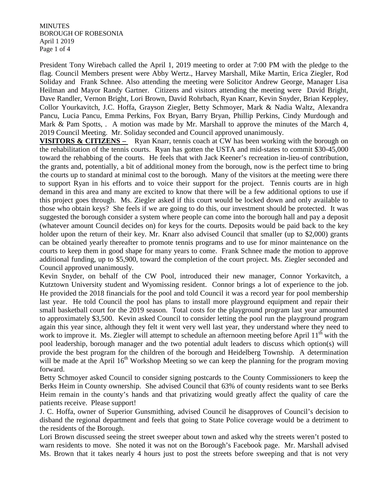**MINUTES** BOROUGH OF ROBESONIA April 1 2019 Page 1 of 4

President Tony Wirebach called the April 1, 2019 meeting to order at 7:00 PM with the pledge to the flag. Council Members present were Abby Wertz., Harvey Marshall, Mike Martin, Erica Ziegler, Rod Soliday and Frank Schnee. Also attending the meeting were Solicitor Andrew George, Manager Lisa Heilman and Mayor Randy Gartner. Citizens and visitors attending the meeting were David Bright, Dave Randler, Vernon Bright, Lori Brown, David Rohrbach, Ryan Knarr, Kevin Snyder, Brian Keppley, Collor Yourkavitch, J.C. Hoffa, Grayson Ziegler, Betty Schmoyer, Mark & Nadia Waltz, Alexandra Pancu, Lucia Pancu, Emma Perkins, Fox Bryan, Barry Bryan, Phillip Perkins, Cindy Murdough and Mark & Pam Spotts, . A motion was made by Mr. Marshall to approve the minutes of the March 4, 2019 Council Meeting. Mr. Soliday seconded and Council approved unanimously.

**VISITORS & CITIZENS** – Ryan Knarr, tennis coach at CW has been working with the borough on the rehabilitation of the tennis courts. Ryan has gotten the USTA and mid-states to commit \$30-45,000 toward the rehabbing of the courts. He feels that with Jack Keener's recreation in-lieu-of contribution, the grants and, potentially, a bit of additional money from the borough, now is the perfect time to bring the courts up to standard at minimal cost to the borough. Many of the visitors at the meeting were there to support Ryan in his efforts and to voice their support for the project. Tennis courts are in high demand in this area and many are excited to know that there will be a few additional options to use if this project goes through. Ms. Ziegler asked if this court would be locked down and only available to those who obtain keys? She feels if we are going to do this, our investment should be protected. It was suggested the borough consider a system where people can come into the borough hall and pay a deposit (whatever amount Council decides on) for keys for the courts. Deposits would be paid back to the key holder upon the return of their key. Mr. Knarr also advised Council that smaller (up to \$2,000) grants can be obtained yearly thereafter to promote tennis programs and to use for minor maintenance on the courts to keep them in good shape for many years to come. Frank Schnee made the motion to approve additional funding, up to \$5,900, toward the completion of the court project. Ms. Ziegler seconded and Council approved unanimously.

Kevin Snyder, on behalf of the CW Pool, introduced their new manager, Connor Yorkavitch, a Kutztown University student and Wyomissing resident. Connor brings a lot of experience to the job. He provided the 2018 financials for the pool and told Council it was a record year for pool membership last year. He told Council the pool has plans to install more playground equipment and repair their small basketball court for the 2019 season. Total costs for the playground program last year amounted to approximately \$3,500. Kevin asked Council to consider letting the pool run the playground program again this year since, although they felt it went very well last year, they understand where they need to work to improve it. Ms. Ziegler will attempt to schedule an afternoon meeting before April  $11<sup>th</sup>$  with the pool leadership, borough manager and the two potential adult leaders to discuss which option(s) will provide the best program for the children of the borough and Heidelberg Township. A determination will be made at the April 16<sup>th</sup> Workshop Meeting so we can keep the planning for the program moving forward.

Betty Schmoyer asked Council to consider signing postcards to the County Commissioners to keep the Berks Heim in County ownership. She advised Council that 63% of county residents want to see Berks Heim remain in the county's hands and that privatizing would greatly affect the quality of care the patients receive. Please support!

J. C. Hoffa, owner of Superior Gunsmithing, advised Council he disapproves of Council's decision to disband the regional department and feels that going to State Police coverage would be a detriment to the residents of the Borough.

Lori Brown discussed seeing the street sweeper about town and asked why the streets weren't posted to warn residents to move. She noted it was not on the Borough's Facebook page. Mr. Marshall advised Ms. Brown that it takes nearly 4 hours just to post the streets before sweeping and that is not very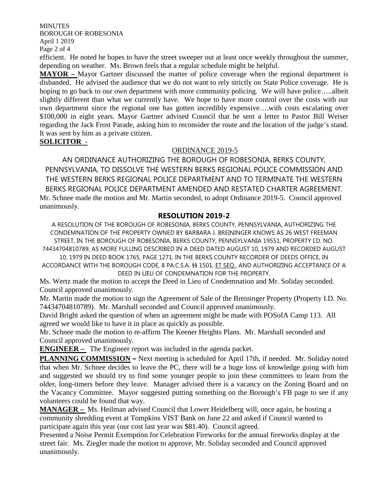**MINUTES** BOROUGH OF ROBESONIA April 1 2019

Page 2 of 4

efficient. He noted he hopes to have the street sweeper out at least once weekly throughout the summer, depending on weather. Ms. Brown feels that a regular schedule might be helpful.

**MAYOR** – Mayor Gartner discussed the matter of police coverage when the regional department is disbanded. He advised the audience that we do not want to rely strictly on State Police coverage. He is hoping to go back to our own department with more community policing. We will have police.....albeit slightly different than what we currently have. We hope to have more control over the costs with our own department since the regional one has gotten incredibly expensive….with costs escalating over \$100,000 in eight years. Mayor Gartner advised Council that he sent a letter to Pastor Bill Weiser regarding the Jack Frost Parade, asking him to reconsider the route and the location of the judge's stand. It was sent by him as a private citizen.

## **SOLICITOR** -

#### ORDINANCE 2019-5

AN ORDINANCE AUTHORIZING THE BOROUGH OF ROBESONIA, BERKS COUNTY, PENNSYLVANIA, TO DISSOLVE THE WESTERN BERKS REGIONAL POLICE COMMISSION AND THE WESTERN BERKS REGIONAL POLICE DEPARTMENT AND TO TERMINATE THE WESTERN BERKS REGIONAL POLICE DEPARTMENT AMENDED AND RESTATED CHARTER AGREEMENT. Mr. Schnee made the motion and Mr. Martin seconded, to adopt Ordinance 2019-5. Council approved unanimously.

## **RESOLUTION 2019-2**

A RESOLUTION OF THE BOROUGH OF ROBESONIA, BERKS COUNTY, PENNSYLVANIA, AUTHORIZING THE CONDEMNATION OF THE PROPERTY OWNED BY BARBARA J. BREININGER KNOWS AS 26 WEST FREEMAN STREET, IN THE BOROUGH OF ROBESONIA, BERKS COUNTY, PENNSYLVANIA 19551, PROPERTY I.D. NO. 74434704810789, AS MORE FULLING DESCRIBED IN A DEED DATED AUGUST 10, 1979 AND RECORDED AUGUST

10, 1979 IN DEED BOOK 1765, PAGE 1271, IN THE BERKS COUNTY RECORDER OF DEEDS OFFICE, IN ACCORDANCE WITH THE BOROUGH CODE, 8 PA.C.S.A. §§ 1501, ET SEQ., AND AUTHORIZING ACCEPTANCE OF A DEED IN LIEU OF CONDEMNATION FOR THE PROPERTY.

Ms. Wertz made the motion to accept the Deed in Lieu of Condemnation and Mr. Soliday seconded. Council approved unanimously.

Mr. Martin made the motion to sign the Agreement of Sale of the Breininger Property (Property I.D. No. 74434704810789). Mr. Marshall seconded and Council approved unanimously.

David Bright asked the question of when an agreement might be made with POSofA Camp 113. All agreed we would like to have it in place as quickly as possible.

Mr. Schnee made the motion to re-affirm The Keener Heights Plans. Mr. Marshall seconded and Council approved unanimously.

**ENGINEER** – The Engineer report was included in the agenda packet.

**PLANNING COMMISSION –** Next meeting is scheduled for April 17th, if needed. Mr. Soliday noted that when Mr. Schnee decides to leave the PC, there will be a huge loss of knowledge going with him and suggested we should try to find some younger people to join these committees to learn from the older, long-timers before they leave. Manager advised there is a vacancy on the Zoning Board and on the Vacancy Committee. Mayor suggested putting something on the Borough's FB page to see if any volunteers could be found that way.

**MANAGER –** Ms. Heilman advised Council that Lower Heidelberg will, once again, be hosting a community shredding event at Tompkins VIST Bank on June 22 and asked if Council wanted to participate again this year (our cost last year was \$81.40). Council agreed.

Presented a Noise Permit Exemption for Celebration Fireworks for the annual fireworks display at the street fair. Ms. Ziegler made the motion to approve, Mr. Soliday seconded and Council approved unanimously.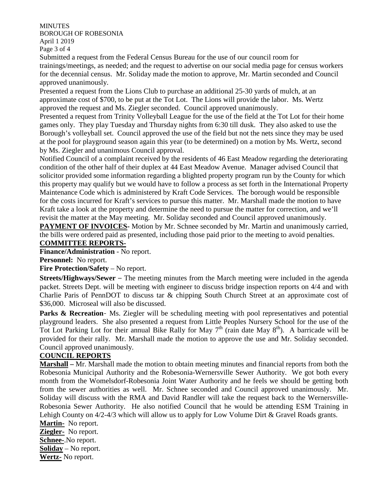**MINUTES** BOROUGH OF ROBESONIA April 1 2019

Page 3 of 4

Submitted a request from the Federal Census Bureau for the use of our council room for trainings/meetings, as needed; and the request to advertise on our social media page for census workers for the decennial census. Mr. Soliday made the motion to approve, Mr. Martin seconded and Council approved unanimously.

Presented a request from the Lions Club to purchase an additional 25-30 yards of mulch, at an approximate cost of \$700, to be put at the Tot Lot. The Lions will provide the labor. Ms. Wertz approved the request and Ms. Ziegler seconded. Council approved unanimously.

Presented a request from Trinity Volleyball League for the use of the field at the Tot Lot for their home games only. They play Tuesday and Thursday nights from 6:30 till dusk. They also asked to use the Borough's volleyball set. Council approved the use of the field but not the nets since they may be used at the pool for playground season again this year (to be determined) on a motion by Ms. Wertz, second by Ms. Ziegler and unanimous Council approval.

Notified Council of a complaint received by the residents of 46 East Meadow regarding the deteriorating condition of the other half of their duplex at 44 East Meadow Avenue. Manager advised Council that solicitor provided some information regarding a blighted property program run by the County for which this property may qualify but we would have to follow a process as set forth in the International Property Maintenance Code which is administered by Kraft Code Services. The borough would be responsible for the costs incurred for Kraft's services to pursue this matter. Mr. Marshall made the motion to have Kraft take a look at the property and determine the need to pursue the matter for correction, and we'll revisit the matter at the May meeting. Mr. Soliday seconded and Council approved unanimously.

**PAYMENT OF INVOICES-** Motion by Mr. Schnee seconded by Mr. Martin and unanimously carried, the bills were ordered paid as presented, including those paid prior to the meeting to avoid penalties. **COMMITTEE REPORTS-**

**Finance/Administration** - No report.

**Personnel:** No report.

#### **Fire Protection/Safety** – No report.

**Streets/Highways/Sewer** – The meeting minutes from the March meeting were included in the agenda packet. Streets Dept. will be meeting with engineer to discuss bridge inspection reports on 4/4 and with Charlie Paris of PennDOT to discuss tar & chipping South Church Street at an approximate cost of \$36,000. Microseal will also be discussed.

Parks & Recreation- Ms. Ziegler will be scheduling meeting with pool representatives and potential playground leaders. She also presented a request from Little Peoples Nursery School for the use of the Tot Lot Parking Lot for their annual Bike Rally for May  $7<sup>th</sup>$  (rain date May  $8<sup>th</sup>$ ). A barricade will be provided for their rally. Mr. Marshall made the motion to approve the use and Mr. Soliday seconded. Council approved unanimously.

#### **COUNCIL REPORTS**

**Marshall –** Mr. Marshall made the motion to obtain meeting minutes and financial reports from both the Robesonia Municipal Authority and the Robesonia-Wernersville Sewer Authority. We got both every month from the Womelsdorf-Robesonia Joint Water Authority and he feels we should be getting both from the sewer authorities as well. Mr. Schnee seconded and Council approved unanimously. Mr. Soliday will discuss with the RMA and David Randler will take the request back to the Wernersville-Robesonia Sewer Authority. He also notified Council that he would be attending ESM Training in Lehigh County on  $4/2$ -4/3 which will allow us to apply for Low Volume Dirt & Gravel Roads grants.

**Martin-** No report. **Ziegler-** No report. **Schnee-**.No report. **Soliday** – No report. **Wertz-** No report.